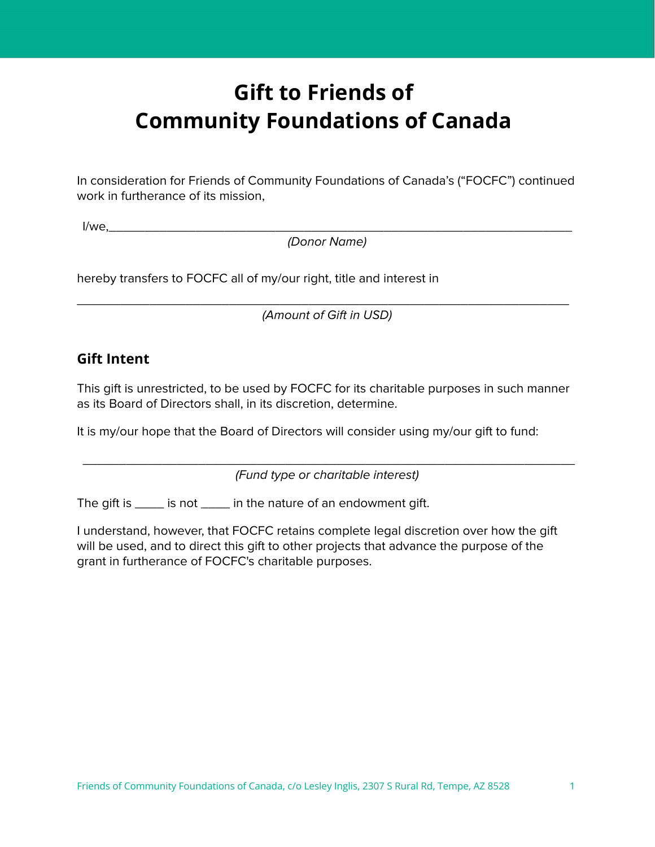# **Gift to Friends of Community Foundations of Canada**

In consideration for Friends of Community Foundations of Canada's ("FOCFC") continued work in furtherance of its mission,

I/we,\_\_\_\_\_\_\_\_\_\_\_\_\_\_\_\_\_\_\_\_\_\_\_\_\_\_\_\_\_\_\_\_\_\_\_\_\_\_\_\_\_\_\_\_\_\_\_\_\_\_\_\_\_\_\_\_\_\_\_\_\_\_\_\_

(Donor Name)

hereby transfers to FOCFC all of my/our right, title and interest in

\_\_\_\_\_\_\_\_\_\_\_\_\_\_\_\_\_\_\_\_\_\_\_\_\_\_\_\_\_\_\_\_\_\_\_\_\_\_\_\_\_\_\_\_\_\_\_\_\_\_\_\_\_\_\_\_\_\_\_\_\_\_\_\_\_\_\_\_ (Amount of Gift in USD)

### **Gift Intent**

This gift is unrestricted, to be used by FOCFC for its charitable purposes in such manner as its Board of Directors shall, in its discretion, determine.

It is my/our hope that the Board of Directors will consider using my/our gift to fund:

 $\overline{\phantom{a}}$  ,  $\overline{\phantom{a}}$  ,  $\overline{\phantom{a}}$  ,  $\overline{\phantom{a}}$  ,  $\overline{\phantom{a}}$  ,  $\overline{\phantom{a}}$  ,  $\overline{\phantom{a}}$  ,  $\overline{\phantom{a}}$  ,  $\overline{\phantom{a}}$  ,  $\overline{\phantom{a}}$  ,  $\overline{\phantom{a}}$  ,  $\overline{\phantom{a}}$  ,  $\overline{\phantom{a}}$  ,  $\overline{\phantom{a}}$  ,  $\overline{\phantom{a}}$  ,  $\overline{\phantom{a}}$ (Fund type or charitable interest)

The gift is \_\_\_\_\_ is not \_\_\_\_\_ in the nature of an endowment gift.

I understand, however, that FOCFC retains complete legal discretion over how the gift will be used, and to direct this gift to other projects that advance the purpose of the grant in furtherance of FOCFC's charitable purposes.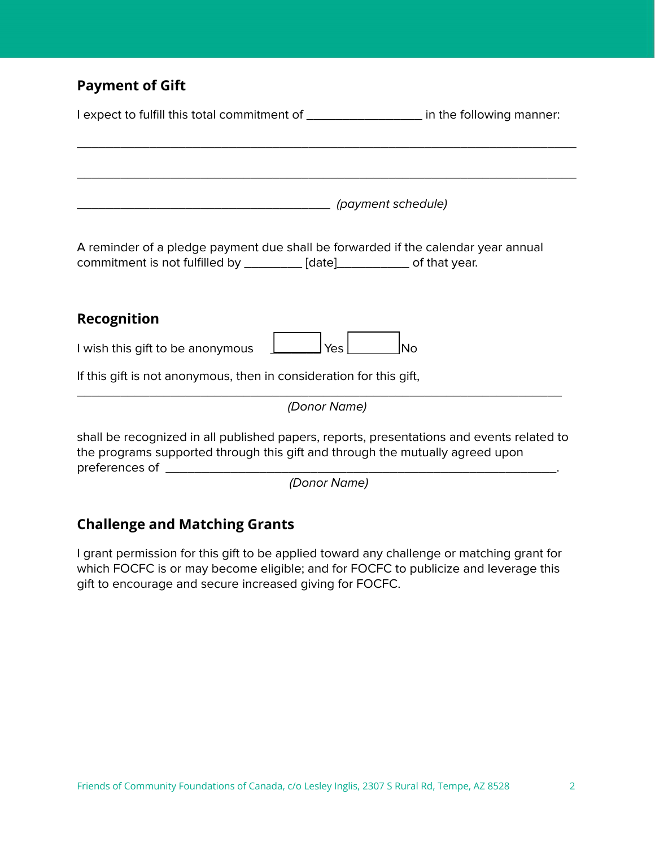# **Payment of Gift**

| I expect to fulfill this total commitment of ____________________ in the following manner:                                                                                 |                    |  |
|----------------------------------------------------------------------------------------------------------------------------------------------------------------------------|--------------------|--|
|                                                                                                                                                                            |                    |  |
|                                                                                                                                                                            | (payment schedule) |  |
| A reminder of a pledge payment due shall be forwarded if the calendar year annual<br>commitment is not fulfilled by _________ [date]____________ of that year.             |                    |  |
| Recognition                                                                                                                                                                |                    |  |
| <b>Yes</b><br>I wish this gift to be anonymous                                                                                                                             | <b>No</b>          |  |
| If this gift is not anonymous, then in consideration for this gift,                                                                                                        |                    |  |
| (Donor Name)                                                                                                                                                               |                    |  |
| shall be recognized in all published papers, reports, presentations and events related to<br>the programs supported through this gift and through the mutually agreed upon |                    |  |

#### (Donor Name)

# **Challenge and Matching Grants**

I grant permission for this gift to be applied toward any challenge or matching grant for which FOCFC is or may become eligible; and for FOCFC to publicize and leverage this gift to encourage and secure increased giving for FOCFC.